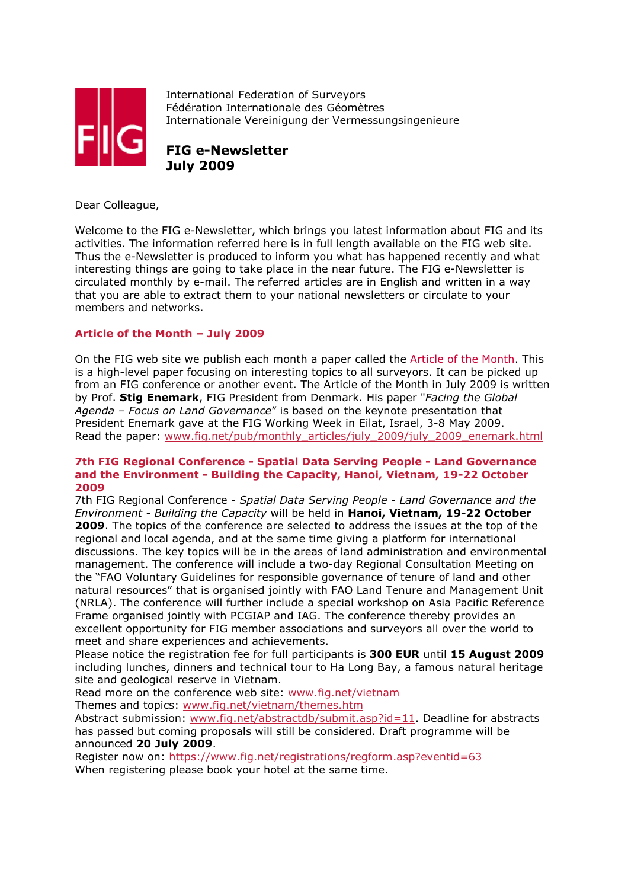

International Federation of Surveyors Fédération Internationale des Géomètres Internationale Vereinigung der Vermessungsingenieure

**FIG e-Newsletter July 2009**

Dear Colleague,

Welcome to the FIG e-Newsletter, which brings you latest information about FIG and its activities. The information referred here is in full length available on the FIG web site. Thus the e-Newsletter is produced to inform you what has happened recently and what interesting things are going to take place in the near future. The FIG e-Newsletter is circulated monthly by e-mail. The referred articles are in English and written in a way that you are able to extract them to your national newsletters or circulate to your members and networks.

# **Article of the Month – July 2009**

On the FIG web site we publish each month a paper called the Article of the Month. This is a high-level paper focusing on interesting topics to all surveyors. It can be picked up from an FIG conference or another event. The Article of the Month in July 2009 is written by Prof. **Stig Enemark**, FIG President from Denmark. His paper "*Facing the Global Agenda – Focus on Land Governance*" is based on the keynote presentation that President Enemark gave at the FIG Working Week in Eilat, Israel, 3-8 May 2009. Read the paper: www.fig.net/pub/monthly\_articles/july\_2009/july\_2009\_enemark.html

# **7th FIG Regional Conference - Spatial Data Serving People - Land Governance and the Environment - Building the Capacity, Hanoi, Vietnam, 19-22 October 2009**

7th FIG Regional Conference - *Spatial Data Serving People - Land Governance and the Environment - Building the Capacity* will be held in **Hanoi, Vietnam, 19-22 October 2009**. The topics of the conference are selected to address the issues at the top of the regional and local agenda, and at the same time giving a platform for international discussions. The key topics will be in the areas of land administration and environmental management. The conference will include a two-day Regional Consultation Meeting on the "FAO Voluntary Guidelines for responsible governance of tenure of land and other natural resources" that is organised jointly with FAO Land Tenure and Management Unit (NRLA). The conference will further include a special workshop on Asia Pacific Reference Frame organised jointly with PCGIAP and IAG. The conference thereby provides an excellent opportunity for FIG member associations and surveyors all over the world to meet and share experiences and achievements.

Please notice the registration fee for full participants is **300 EUR** until **15 August 2009** including lunches, dinners and technical tour to Ha Long Bay, a famous natural heritage site and geological reserve in Vietnam.

Read more on the conference web site: www.fig.net/vietnam

Themes and topics: www.fig.net/vietnam/themes.htm

Abstract submission: www.fig.net/abstractdb/submit.asp?id=11. Deadline for abstracts has passed but coming proposals will still be considered. Draft programme will be announced **20 July 2009**.

Register now on: https://www.fig.net/registrations/regform.asp?eventid=63 When registering please book your hotel at the same time.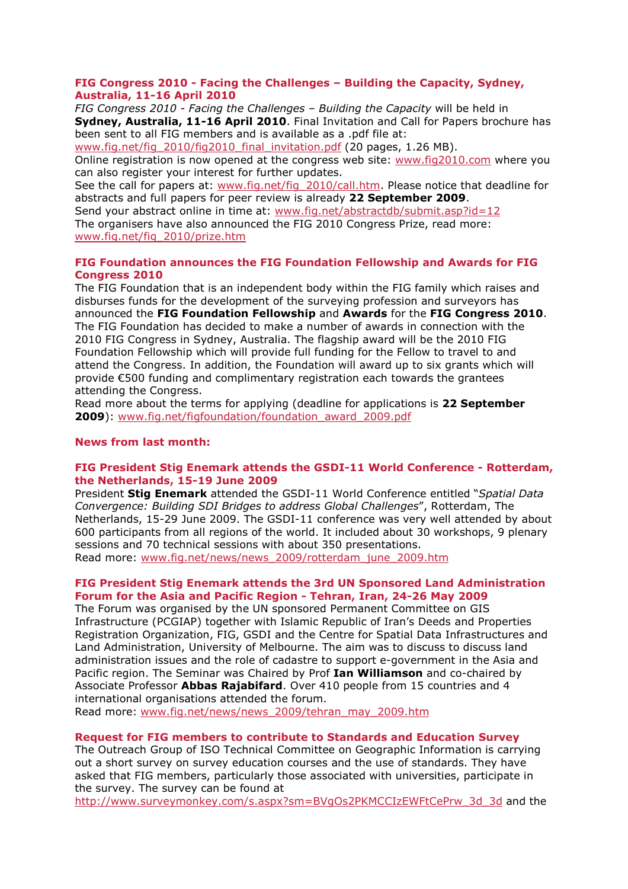# **FIG Congress 2010 - Facing the Challenges – Building the Capacity, Sydney, Australia, 11-16 April 2010**

*FIG Congress 2010 - Facing the Challenges – Building the Capacity* will be held in **Sydney, Australia, 11-16 April 2010**. Final Invitation and Call for Papers brochure has been sent to all FIG members and is available as a .pdf file at:

www.fig.net/fig\_2010/fig2010\_final\_invitation.pdf (20 pages, 1.26 MB).

Online registration is now opened at the congress web site: www.fig2010.com where you can also register your interest for further updates.

See the call for papers at: www.fig.net/fig\_2010/call.htm. Please notice that deadline for abstracts and full papers for peer review is already **22 September 2009**.

Send your abstract online in time at: www.fig.net/abstractdb/submit.asp?id=12 The organisers have also announced the FIG 2010 Congress Prize, read more: www.fig.net/fig\_2010/prize.htm

# **FIG Foundation announces the FIG Foundation Fellowship and Awards for FIG Congress 2010**

The FIG Foundation that is an independent body within the FIG family which raises and disburses funds for the development of the surveying profession and surveyors has announced the **FIG Foundation Fellowship** and **Awards** for the **FIG Congress 2010**. The FIG Foundation has decided to make a number of awards in connection with the 2010 FIG Congress in Sydney, Australia. The flagship award will be the 2010 FIG Foundation Fellowship which will provide full funding for the Fellow to travel to and attend the Congress. In addition, the Foundation will award up to six grants which will provide €500 funding and complimentary registration each towards the grantees attending the Congress.

Read more about the terms for applying (deadline for applications is **22 September 2009**): www.fig.net/figfoundation/foundation\_award\_2009.pdf

# **News from last month:**

# **FIG President Stig Enemark attends the GSDI-11 World Conference - Rotterdam, the Netherlands, 15-19 June 2009**

President **Stig Enemark** attended the GSDI-11 World Conference entitled "*Spatial Data Convergence: Building SDI Bridges to address Global Challenges*", Rotterdam, The Netherlands, 15-29 June 2009. The GSDI-11 conference was very well attended by about 600 participants from all regions of the world. It included about 30 workshops, 9 plenary sessions and 70 technical sessions with about 350 presentations. Read more: www.fig.net/news/news\_2009/rotterdam\_june\_2009.htm

# **FIG President Stig Enemark attends the 3rd UN Sponsored Land Administration Forum for the Asia and Pacific Region - Tehran, Iran, 24-26 May 2009**

The Forum was organised by the UN sponsored Permanent Committee on GIS Infrastructure (PCGIAP) together with Islamic Republic of Iran's Deeds and Properties Registration Organization, FIG, GSDI and the Centre for Spatial Data Infrastructures and Land Administration, University of Melbourne. The aim was to discuss to discuss land administration issues and the role of cadastre to support e-government in the Asia and Pacific region. The Seminar was Chaired by Prof **Ian Williamson** and co-chaired by Associate Professor **Abbas Rajabifard**. Over 410 people from 15 countries and 4 international organisations attended the forum.

Read more: www.fig.net/news/news\_2009/tehran\_may\_2009.htm

# **Request for FIG members to contribute to Standards and Education Survey**

The Outreach Group of ISO Technical Committee on Geographic Information is carrying out a short survey on survey education courses and the use of standards. They have asked that FIG members, particularly those associated with universities, participate in the survey. The survey can be found at

http://www.surveymonkey.com/s.aspx?sm=BVgOs2PKMCCIzEWFtCePrw\_3d\_3d and the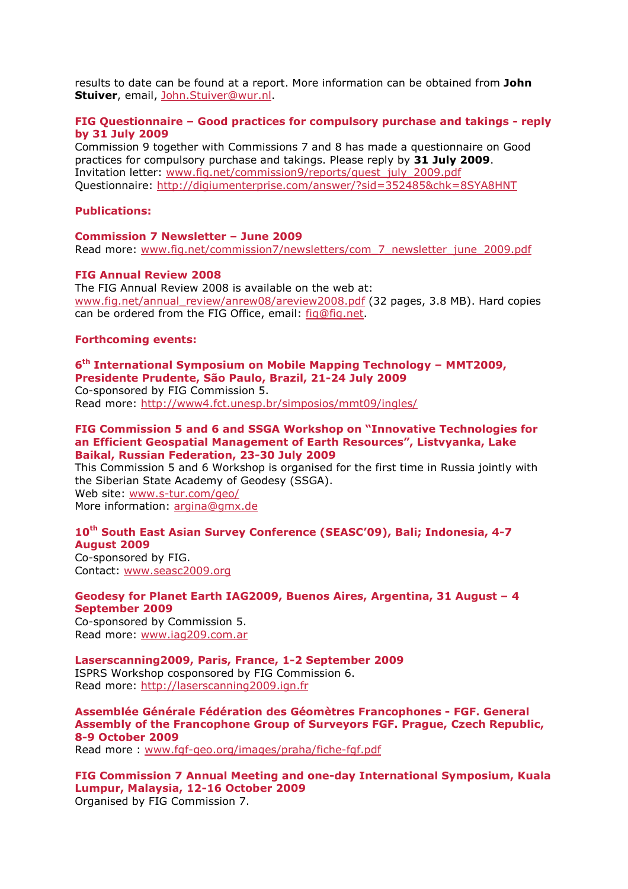results to date can be found at a report. More information can be obtained from **John Stuiver**, email, John.Stuiver@wur.nl.

# **FIG Questionnaire – Good practices for compulsory purchase and takings - reply by 31 July 2009**

Commission 9 together with Commissions 7 and 8 has made a questionnaire on Good practices for compulsory purchase and takings. Please reply by **31 July 2009**. Invitation letter: www.fig.net/commission9/reports/quest\_july\_2009.pdf Questionnaire: http://digiumenterprise.com/answer/?sid=352485&chk=8SYA8HNT

## **Publications:**

### **Commission 7 Newsletter – June 2009**

Read more: www.fig.net/commission7/newsletters/com\_7\_newsletter\_june\_2009.pdf

#### **FIG Annual Review 2008**

The FIG Annual Review 2008 is available on the web at: www.fig.net/annual\_review/anrew08/areview2008.pdf (32 pages, 3.8 MB). Hard copies can be ordered from the FIG Office, email: fig@fig.net.

### **Forthcoming events:**

## **6th International Symposium on Mobile Mapping Technology – MMT2009, Presidente Prudente, São Paulo, Brazil, 21-24 July 2009**

Co-sponsored by FIG Commission 5. Read more: http://www4.fct.unesp.br/simposios/mmt09/ingles/

### **FIG Commission 5 and 6 and SSGA Workshop on "Innovative Technologies for an Efficient Geospatial Management of Earth Resources", Listvyanka, Lake Baikal, Russian Federation, 23-30 July 2009**

This Commission 5 and 6 Workshop is organised for the first time in Russia jointly with the Siberian State Academy of Geodesy (SSGA). Web site: www.s-tur.com/geo/

More information: argina@gmx.de

# **10th South East Asian Survey Conference (SEASC'09), Bali; Indonesia, 4-7 August 2009**

Co-sponsored by FIG. Contact: www.seasc2009.org

#### **Geodesy for Planet Earth IAG2009, Buenos Aires, Argentina, 31 August – 4 September 2009**

Co-sponsored by Commission 5. Read more: www.iag209.com.ar

#### **Laserscanning2009, Paris, France, 1-2 September 2009**  ISPRS Workshop cosponsored by FIG Commission 6.

Read more: http://laserscanning2009.ign.fr

**Assemblée Générale Fédération des Géomètres Francophones - FGF. General Assembly of the Francophone Group of Surveyors FGF. Prague, Czech Republic, 8-9 October 2009**

Read more : www.fgf-geo.org/images/praha/fiche-fgf.pdf

**FIG Commission 7 Annual Meeting and one-day International Symposium, Kuala Lumpur, Malaysia, 12-16 October 2009**  Organised by FIG Commission 7.